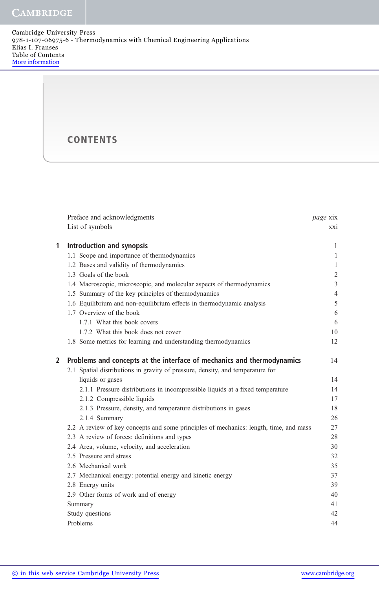**CAMBRIDGE** 

## **CONTENTS**

| Preface and acknowledgments                                                    | page xix                                                                                                                                                                                                                                                                                                                                                                                                                                                                                                         |
|--------------------------------------------------------------------------------|------------------------------------------------------------------------------------------------------------------------------------------------------------------------------------------------------------------------------------------------------------------------------------------------------------------------------------------------------------------------------------------------------------------------------------------------------------------------------------------------------------------|
| List of symbols                                                                | XX1                                                                                                                                                                                                                                                                                                                                                                                                                                                                                                              |
|                                                                                |                                                                                                                                                                                                                                                                                                                                                                                                                                                                                                                  |
|                                                                                | 1                                                                                                                                                                                                                                                                                                                                                                                                                                                                                                                |
|                                                                                | $\mathbf{1}$                                                                                                                                                                                                                                                                                                                                                                                                                                                                                                     |
|                                                                                | $\mathbf{1}$                                                                                                                                                                                                                                                                                                                                                                                                                                                                                                     |
|                                                                                | $\sqrt{2}$                                                                                                                                                                                                                                                                                                                                                                                                                                                                                                       |
|                                                                                | $\mathfrak{Z}$                                                                                                                                                                                                                                                                                                                                                                                                                                                                                                   |
|                                                                                | $\overline{4}$                                                                                                                                                                                                                                                                                                                                                                                                                                                                                                   |
|                                                                                | 5                                                                                                                                                                                                                                                                                                                                                                                                                                                                                                                |
|                                                                                | 6                                                                                                                                                                                                                                                                                                                                                                                                                                                                                                                |
|                                                                                | 6                                                                                                                                                                                                                                                                                                                                                                                                                                                                                                                |
| 1.7.2 What this book does not cover                                            | 10                                                                                                                                                                                                                                                                                                                                                                                                                                                                                                               |
| 1.8 Some metrics for learning and understanding thermodynamics                 | 12                                                                                                                                                                                                                                                                                                                                                                                                                                                                                                               |
| Problems and concepts at the interface of mechanics and thermodynamics         | 14                                                                                                                                                                                                                                                                                                                                                                                                                                                                                                               |
| 2.1 Spatial distributions in gravity of pressure, density, and temperature for |                                                                                                                                                                                                                                                                                                                                                                                                                                                                                                                  |
| liquids or gases                                                               | 14                                                                                                                                                                                                                                                                                                                                                                                                                                                                                                               |
| 2.1.1 Pressure distributions in incompressible liquids at a fixed temperature  | 14                                                                                                                                                                                                                                                                                                                                                                                                                                                                                                               |
| 2.1.2 Compressible liquids                                                     | 17                                                                                                                                                                                                                                                                                                                                                                                                                                                                                                               |
| 2.1.3 Pressure, density, and temperature distributions in gases                | 18                                                                                                                                                                                                                                                                                                                                                                                                                                                                                                               |
| 2.1.4 Summary                                                                  | 26                                                                                                                                                                                                                                                                                                                                                                                                                                                                                                               |
|                                                                                | 27                                                                                                                                                                                                                                                                                                                                                                                                                                                                                                               |
| 2.3 A review of forces: definitions and types                                  | 28                                                                                                                                                                                                                                                                                                                                                                                                                                                                                                               |
| 2.4 Area, volume, velocity, and acceleration                                   | 30                                                                                                                                                                                                                                                                                                                                                                                                                                                                                                               |
| 2.5 Pressure and stress                                                        | 32                                                                                                                                                                                                                                                                                                                                                                                                                                                                                                               |
| 2.6 Mechanical work                                                            | 35                                                                                                                                                                                                                                                                                                                                                                                                                                                                                                               |
| 2.7 Mechanical energy: potential energy and kinetic energy                     | 37                                                                                                                                                                                                                                                                                                                                                                                                                                                                                                               |
| 2.8 Energy units                                                               | 39                                                                                                                                                                                                                                                                                                                                                                                                                                                                                                               |
| 2.9 Other forms of work and of energy                                          | 40                                                                                                                                                                                                                                                                                                                                                                                                                                                                                                               |
| Summary                                                                        | 41                                                                                                                                                                                                                                                                                                                                                                                                                                                                                                               |
| Study questions                                                                | 42                                                                                                                                                                                                                                                                                                                                                                                                                                                                                                               |
| Problems                                                                       | 44                                                                                                                                                                                                                                                                                                                                                                                                                                                                                                               |
|                                                                                | <b>Introduction and synopsis</b><br>1.1 Scope and importance of thermodynamics<br>1.2 Bases and validity of thermodynamics<br>1.3 Goals of the book<br>1.4 Macroscopic, microscopic, and molecular aspects of thermodynamics<br>1.5 Summary of the key principles of thermodynamics<br>1.6 Equilibrium and non-equilibrium effects in thermodynamic analysis<br>1.7 Overview of the book<br>1.7.1 What this book covers<br>2.2 A review of key concepts and some principles of mechanics: length, time, and mass |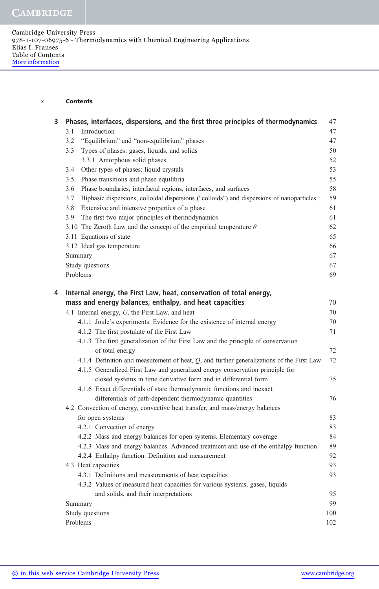### x Contents

| 3 | Phases, interfaces, dispersions, and the first three principles of thermodynamics                | 47  |
|---|--------------------------------------------------------------------------------------------------|-----|
|   | Introduction<br>3.1                                                                              | 47  |
|   | 3.2<br>"Equilibrium" and "non-equilibrium" phases                                                | 47  |
|   | Types of phases: gases, liquids, and solids<br>3.3                                               | 50  |
|   | 3.3.1 Amorphous solid phases                                                                     | 52  |
|   | Other types of phases: liquid crystals<br>3.4                                                    | 53  |
|   | Phase transitions and phase equilibria<br>3.5                                                    | 55  |
|   | Phase boundaries, interfacial regions, interfaces, and surfaces<br>3.6                           | 58  |
|   | 3.7<br>Biphasic dispersions, colloidal dispersions ("colloids") and dispersions of nanoparticles | 59  |
|   | Extensive and intensive properties of a phase<br>3.8                                             | 61  |
|   | The first two major principles of thermodynamics<br>3.9                                          | 61  |
|   | 3.10 The Zeroth Law and the concept of the empirical temperature $\theta$                        | 62  |
|   | 3.11 Equations of state                                                                          | 65  |
|   | 3.12 Ideal gas temperature                                                                       | 66  |
|   | Summary                                                                                          | 67  |
|   | Study questions                                                                                  | 67  |
|   | Problems                                                                                         | 69  |
| 4 | Internal energy, the First Law, heat, conservation of total energy,                              |     |
|   | mass and energy balances, enthalpy, and heat capacities                                          | 70  |
|   | 4.1 Internal energy, U, the First Law, and heat                                                  | 70  |
|   | 4.1.1 Joule's experiments. Evidence for the existence of internal energy                         | 70  |
|   | 4.1.2 The first postulate of the First Law                                                       | 71  |
|   | 4.1.3 The first generalization of the First Law and the principle of conservation                |     |
|   | of total energy                                                                                  | 72  |
|   | 4.1.4 Definition and measurement of heat, $Q$ , and further generalizations of the First Law     | 72  |
|   | 4.1.5 Generalized First Law and generalized energy conservation principle for                    |     |
|   | closed systems in time derivative form and in differential form                                  | 75  |
|   | 4.1.6 Exact differentials of state thermodynamic functions and inexact                           |     |
|   | differentials of path-dependent thermodynamic quantities                                         | 76  |
|   | 4.2 Convection of energy, convective heat transfer, and mass/energy balances                     |     |
|   | for open systems                                                                                 | 83  |
|   | 4.2.1 Convection of energy                                                                       | 83  |
|   | 4.2.2 Mass and energy balances for open systems. Elementary coverage                             | 84  |
|   | 4.2.3 Mass and energy balances. Advanced treatment and use of the enthalpy function              | 89  |
|   | 4.2.4 Enthalpy function. Definition and measurement                                              | 92  |
|   | 4.3 Heat capacities                                                                              | 93  |
|   | 4.3.1 Definitions and measurements of heat capacities                                            | 93  |
|   | 4.3.2 Values of measured heat capacities for various systems, gases, liquids                     |     |
|   | and solids, and their interpretations                                                            | 95  |
|   | Summary                                                                                          | 99  |
|   | Study questions                                                                                  | 100 |
|   | Problems                                                                                         | 102 |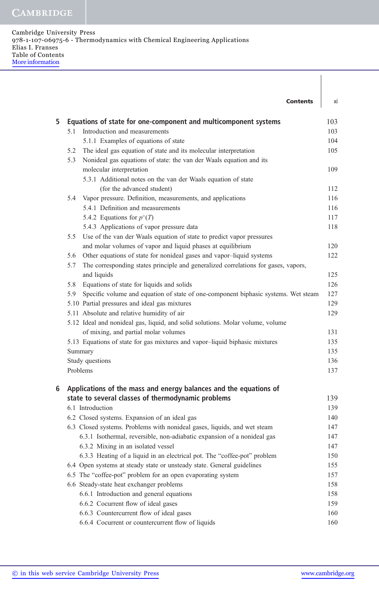|   |          | <b>Contents</b>                                                                    | xi  |
|---|----------|------------------------------------------------------------------------------------|-----|
| 5 |          | Equations of state for one-component and multicomponent systems                    | 103 |
|   | 5.1      | Introduction and measurements                                                      | 103 |
|   |          | 5.1.1 Examples of equations of state                                               | 104 |
|   | 5.2      | The ideal gas equation of state and its molecular interpretation                   | 105 |
|   | 5.3      | Nonideal gas equations of state: the van der Waals equation and its                |     |
|   |          | molecular interpretation                                                           | 109 |
|   |          | 5.3.1 Additional notes on the van der Waals equation of state                      |     |
|   |          | (for the advanced student)                                                         | 112 |
|   | 5.4      | Vapor pressure. Definition, measurements, and applications                         | 116 |
|   |          | 5.4.1 Definition and measurements                                                  | 116 |
|   |          | 5.4.2 Equations for $p^{\circ}(T)$                                                 | 117 |
|   |          | 5.4.3 Applications of vapor pressure data                                          | 118 |
|   | 5.5      | Use of the van der Waals equation of state to predict vapor pressures              |     |
|   |          | and molar volumes of vapor and liquid phases at equilibrium                        | 120 |
|   | 5.6      | Other equations of state for nonideal gases and vapor-liquid systems               | 122 |
|   | 5.7      | The corresponding states principle and generalized correlations for gases, vapors, |     |
|   |          | and liquids                                                                        | 125 |
|   | 5.8      | Equations of state for liquids and solids                                          | 126 |
|   | 5.9      | Specific volume and equation of state of one-component biphasic systems. Wet steam | 127 |
|   |          | 5.10 Partial pressures and ideal gas mixtures                                      | 129 |
|   |          | 5.11 Absolute and relative humidity of air                                         | 129 |
|   |          | 5.12 Ideal and nonideal gas, liquid, and solid solutions. Molar volume, volume     |     |
|   |          | of mixing, and partial molar volumes                                               | 131 |
|   |          | 5.13 Equations of state for gas mixtures and vapor-liquid biphasic mixtures        | 135 |
|   |          | Summary                                                                            | 135 |
|   |          | Study questions                                                                    | 136 |
|   | Problems |                                                                                    | 137 |
| 6 |          | Applications of the mass and energy balances and the equations of                  |     |
|   |          | state to several classes of thermodynamic problems                                 | 139 |
|   |          | 6.1 Introduction                                                                   | 139 |
|   |          | 6.2 Closed systems. Expansion of an ideal gas                                      | 140 |
|   |          | 6.3 Closed systems. Problems with nonideal gases, liquids, and wet steam           | 147 |
|   |          | 6.3.1 Isothermal, reversible, non-adiabatic expansion of a nonideal gas            | 147 |
|   |          | 6.3.2 Mixing in an isolated vessel                                                 | 147 |
|   |          | 6.3.3 Heating of a liquid in an electrical pot. The "coffee-pot" problem           | 150 |
|   |          | 6.4 Open systems at steady state or unsteady state. General guidelines             | 155 |
|   |          | 6.5 The "coffee-pot" problem for an open evaporating system                        | 157 |
|   |          | 6.6 Steady-state heat exchanger problems                                           | 158 |
|   |          | 6.6.1 Introduction and general equations                                           | 158 |
|   |          | 6.6.2 Cocurrent flow of ideal gases                                                | 159 |
|   |          | 6.6.3 Countercurrent flow of ideal gases                                           | 160 |
|   |          | 6.6.4 Cocurrent or countercurrent flow of liquids                                  | 160 |

 $\overline{\phantom{a}}$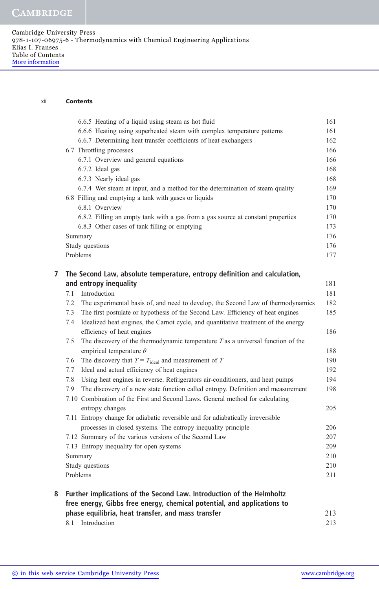### xii Contents

|   | 6.6.5 Heating of a liquid using steam as hot fluid                                        | 161 |
|---|-------------------------------------------------------------------------------------------|-----|
|   | 6.6.6 Heating using superheated steam with complex temperature patterns                   | 161 |
|   | 6.6.7 Determining heat transfer coefficients of heat exchangers                           | 162 |
|   | 6.7 Throttling processes                                                                  | 166 |
|   | 6.7.1 Overview and general equations                                                      | 166 |
|   | 6.7.2 Ideal gas                                                                           | 168 |
|   | 6.7.3 Nearly ideal gas                                                                    | 168 |
|   | 6.7.4 Wet steam at input, and a method for the determination of steam quality             | 169 |
|   | 6.8 Filling and emptying a tank with gases or liquids                                     | 170 |
|   | 6.8.1 Overview                                                                            | 170 |
|   | 6.8.2 Filling an empty tank with a gas from a gas source at constant properties           | 170 |
|   | 6.8.3 Other cases of tank filling or emptying                                             | 173 |
|   | Summary                                                                                   | 176 |
|   | Study questions                                                                           | 176 |
|   | Problems                                                                                  | 177 |
| 7 | The Second Law, absolute temperature, entropy definition and calculation,                 |     |
|   | and entropy inequality                                                                    | 181 |
|   | Introduction<br>7.1                                                                       | 181 |
|   | The experimental basis of, and need to develop, the Second Law of thermodynamics<br>7.2   | 182 |
|   | The first postulate or hypothesis of the Second Law. Efficiency of heat engines<br>7.3    | 185 |
|   | Idealized heat engines, the Carnot cycle, and quantitative treatment of the energy<br>7.4 |     |
|   | efficiency of heat engines                                                                | 186 |
|   | 7.5<br>The discovery of the thermodynamic temperature $T$ as a universal function of the  |     |
|   | empirical temperature $\theta$                                                            | 188 |
|   | The discovery that $T = T_{\text{ideal}}$ and measurement of T<br>7.6                     | 190 |
|   | Ideal and actual efficiency of heat engines<br>7.7                                        | 192 |
|   | Using heat engines in reverse. Refrigerators air-conditioners, and heat pumps<br>7.8      | 194 |
|   | The discovery of a new state function called entropy. Definition and measurement<br>7.9   | 198 |
|   | 7.10 Combination of the First and Second Laws. General method for calculating             |     |
|   | entropy changes                                                                           | 205 |
|   | 7.11 Entropy change for adiabatic reversible and for adiabatically irreversible           |     |
|   | processes in closed systems. The entropy inequality principle                             | 206 |
|   | 7.12 Summary of the various versions of the Second Law                                    | 207 |
|   | 7.13 Entropy inequality for open systems                                                  | 209 |
|   | Summary                                                                                   | 210 |
|   | Study questions                                                                           | 210 |
|   | Problems                                                                                  | 211 |
| 8 | Further implications of the Second Law. Introduction of the Helmholtz                     |     |
|   | free energy, Gibbs free energy, chemical potential, and applications to                   |     |
|   | phase equilibria, heat transfer, and mass transfer                                        | 213 |
|   | Introduction<br>8.1                                                                       | 213 |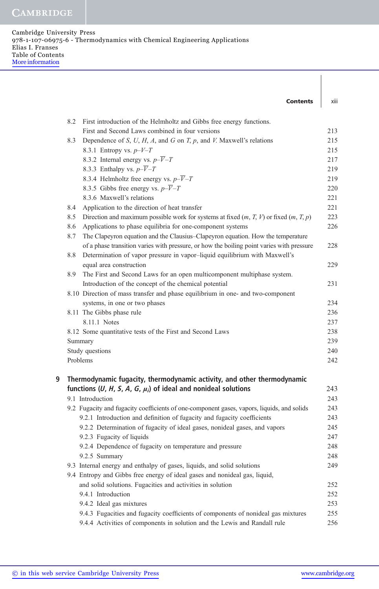# **CAMBRIDGE**

|   | <b>Contents</b>                                                                                  | xiii |
|---|--------------------------------------------------------------------------------------------------|------|
|   | First introduction of the Helmholtz and Gibbs free energy functions.<br>8.2                      |      |
|   | First and Second Laws combined in four versions                                                  | 213  |
|   | Dependence of S, U, H, A, and G on T, p, and V. Maxwell's relations<br>8.3                       | 215  |
|   | 8.3.1 Entropy vs. $p-V-T$                                                                        | 215  |
|   | 8.3.2 Internal energy vs. $p-\overline{V}-T$                                                     | 217  |
|   | 8.3.3 Enthalpy vs. $p-\overline{V}-T$                                                            | 219  |
|   | 8.3.4 Helmholtz free energy vs. $p-\overline{V}-T$                                               | 219  |
|   | 8.3.5 Gibbs free energy vs. $p-\overline{V}-T$                                                   | 220  |
|   | 8.3.6 Maxwell's relations                                                                        | 221  |
|   | 8.4<br>Application to the direction of heat transfer                                             | 221  |
|   | Direction and maximum possible work for systems at fixed $(m, T, V)$ or fixed $(m, T, p)$<br>8.5 | 223  |
|   | Applications to phase equilibria for one-component systems<br>8.6                                | 226  |
|   | The Clapeyron equation and the Clausius–Clapeyron equation. How the temperature<br>8.7           |      |
|   | of a phase transition varies with pressure, or how the boiling point varies with pressure        | 228  |
|   | Determination of vapor pressure in vapor-liquid equilibrium with Maxwell's<br>8.8                |      |
|   | equal area construction                                                                          | 229  |
|   | The First and Second Laws for an open multicomponent multiphase system.<br>8.9                   |      |
|   | Introduction of the concept of the chemical potential                                            | 231  |
|   | 8.10 Direction of mass transfer and phase equilibrium in one- and two-component                  |      |
|   | systems, in one or two phases                                                                    | 234  |
|   | 8.11 The Gibbs phase rule                                                                        | 236  |
|   | 8.11.1 Notes                                                                                     | 237  |
|   | 8.12 Some quantitative tests of the First and Second Laws                                        | 238  |
|   | Summary                                                                                          | 239  |
|   | Study questions                                                                                  | 240  |
|   | Problems                                                                                         | 242  |
| 9 | Thermodynamic fugacity, thermodynamic activity, and other thermodynamic                          |      |
|   | functions (U, H, S, A, G, $\mu_i$ ) of ideal and nonideal solutions                              | 243  |
|   | 9.1 Introduction                                                                                 | 243  |
|   | 9.2 Fugacity and fugacity coefficients of one-component gases, vapors, liquids, and solids       | 243  |
|   | 9.2.1 Introduction and definition of fugacity and fugacity coefficients                          | 243  |
|   | 9.2.2 Determination of fugacity of ideal gases, nonideal gases, and vapors                       | 245  |
|   | 9.2.3 Fugacity of liquids                                                                        | 247  |
|   | 9.2.4 Dependence of fugacity on temperature and pressure                                         | 248  |
|   | 9.2.5 Summary                                                                                    | 248  |
|   | 9.3 Internal energy and enthalpy of gases, liquids, and solid solutions                          | 249  |
|   | 9.4 Entropy and Gibbs free energy of ideal gases and nonideal gas, liquid,                       |      |
|   | and solid solutions. Fugacities and activities in solution                                       | 252  |
|   | 9.4.1 Introduction                                                                               | 252  |
|   | 9.4.2 Ideal gas mixtures                                                                         | 253  |
|   | 9.4.3 Fugacities and fugacity coefficients of components of nonideal gas mixtures                | 255  |
|   | 9.4.4 Activities of components in solution and the Lewis and Randall rule                        | 256  |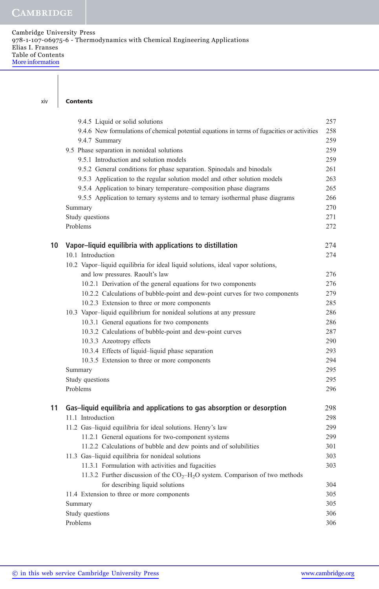### **Contents**

|    | 9.4.5 Liquid or solid solutions                                                             | 257 |
|----|---------------------------------------------------------------------------------------------|-----|
|    | 9.4.6 New formulations of chemical potential equations in terms of fugacities or activities | 258 |
|    | 9.4.7 Summary                                                                               | 259 |
|    | 9.5 Phase separation in nonideal solutions                                                  | 259 |
|    | 9.5.1 Introduction and solution models                                                      | 259 |
|    | 9.5.2 General conditions for phase separation. Spinodals and binodals                       | 261 |
|    | 9.5.3 Application to the regular solution model and other solution models                   | 263 |
|    | 9.5.4 Application to binary temperature–composition phase diagrams                          | 265 |
|    | 9.5.5 Application to ternary systems and to ternary isothermal phase diagrams               | 266 |
|    | Summary                                                                                     | 270 |
|    | Study questions                                                                             | 271 |
|    | Problems                                                                                    | 272 |
| 10 | Vapor-liquid equilibria with applications to distillation                                   | 274 |
|    | 10.1 Introduction                                                                           | 274 |
|    | 10.2 Vapor-liquid equilibria for ideal liquid solutions, ideal vapor solutions,             |     |
|    | and low pressures. Raoult's law                                                             | 276 |
|    | 10.2.1 Derivation of the general equations for two components                               | 276 |
|    | 10.2.2 Calculations of bubble-point and dew-point curves for two components                 | 279 |
|    | 10.2.3 Extension to three or more components                                                | 285 |
|    | 10.3 Vapor-liquid equilibrium for nonideal solutions at any pressure                        | 286 |
|    | 10.3.1 General equations for two components                                                 | 286 |
|    | 10.3.2 Calculations of bubble-point and dew-point curves                                    | 287 |
|    | 10.3.3 Azeotropy effects                                                                    | 290 |
|    | 10.3.4 Effects of liquid-liquid phase separation                                            | 293 |
|    | 10.3.5 Extension to three or more components                                                | 294 |
|    | Summary                                                                                     | 295 |
|    | Study questions                                                                             | 295 |
|    | Problems                                                                                    | 296 |
| 11 | Gas-liquid equilibria and applications to gas absorption or desorption                      | 298 |
|    | 11.1 Introduction                                                                           | 298 |
|    | 11.2 Gas-liquid equilibria for ideal solutions. Henry's law                                 | 299 |
|    | 11.2.1 General equations for two-component systems                                          | 299 |
|    | 11.2.2 Calculations of bubble and dew points and of solubilities                            | 301 |
|    | 11.3 Gas-liquid equilibria for nonideal solutions                                           | 303 |
|    | 11.3.1 Formulation with activities and fugacities                                           | 303 |
|    | 11.3.2 Further discussion of the $CO2-H2O$ system. Comparison of two methods                |     |
|    | for describing liquid solutions                                                             | 304 |
|    | 11.4 Extension to three or more components                                                  | 305 |
|    | Summary                                                                                     | 305 |
|    | Study questions                                                                             | 306 |
|    | Problems                                                                                    | 306 |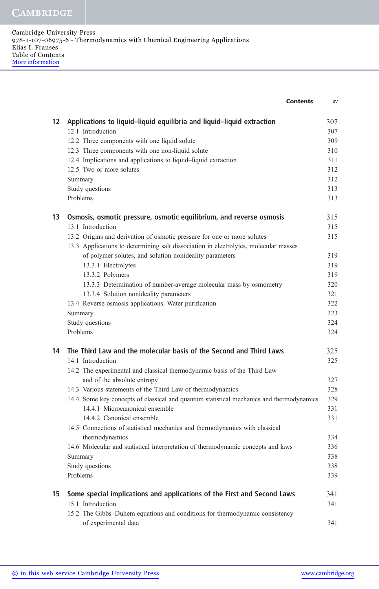|    | <b>Contents</b>                                                                                    | XV  |
|----|----------------------------------------------------------------------------------------------------|-----|
| 12 | Applications to liquid-liquid equilibria and liquid-liquid extraction                              | 307 |
|    | 12.1 Introduction                                                                                  | 307 |
|    | 12.2 Three components with one liquid solute                                                       | 309 |
|    | 12.3 Three components with one non-liquid solute                                                   | 310 |
|    | 12.4 Implications and applications to liquid-liquid extraction                                     | 311 |
|    | 12.5 Two or more solutes                                                                           | 312 |
|    | Summary                                                                                            | 312 |
|    | Study questions                                                                                    | 313 |
|    | Problems                                                                                           | 313 |
| 13 | Osmosis, osmotic pressure, osmotic equilibrium, and reverse osmosis                                | 315 |
|    | 13.1 Introduction                                                                                  | 315 |
|    | 13.2 Origins and derivation of osmotic pressure for one or more solutes                            | 315 |
|    | 13.3 Applications to determining salt dissociation in electrolytes, molecular masses               |     |
|    | of polymer solutes, and solution nonideality parameters                                            | 319 |
|    | 13.3.1 Electrolytes                                                                                | 319 |
|    | 13.3.2 Polymers                                                                                    | 319 |
|    | 13.3.3 Determination of number-average molecular mass by osmometry                                 | 320 |
|    | 13.3.4 Solution nonideality parameters                                                             | 321 |
|    | 13.4 Reverse osmosis applications. Water purification                                              | 322 |
|    | Summary                                                                                            | 323 |
|    | Study questions                                                                                    | 324 |
|    | Problems                                                                                           | 324 |
| 14 | The Third Law and the molecular basis of the Second and Third Laws                                 | 325 |
|    | 14.1 Introduction                                                                                  | 325 |
|    | 14.2 The experimental and classical thermodynamic basis of the Third Law                           |     |
|    | and of the absolute entropy                                                                        | 327 |
|    | 14.3 Various statements of the Third Law of thermodynamics                                         | 328 |
|    | 14.4 Some key concepts of classical and quantum statistical mechanics and thermodynamics           | 329 |
|    | 14.4.1 Microcanonical ensemble<br>14.4.2 Canonical ensemble                                        | 331 |
|    | 14.5 Connections of statistical mechanics and thermodynamics with classical                        | 331 |
|    |                                                                                                    | 334 |
|    | thermodynamics<br>14.6 Molecular and statistical interpretation of thermodynamic concepts and laws | 336 |
|    | Summary                                                                                            | 338 |
|    | Study questions                                                                                    | 338 |
|    | Problems                                                                                           | 339 |
|    |                                                                                                    |     |
| 15 | Some special implications and applications of the First and Second Laws                            | 341 |
|    | 15.1 Introduction                                                                                  | 341 |
|    | 15.2 The Gibbs-Duhem equations and conditions for thermodynamic consistency                        |     |
|    | of experimental data                                                                               | 341 |

 $\mathsf{l}$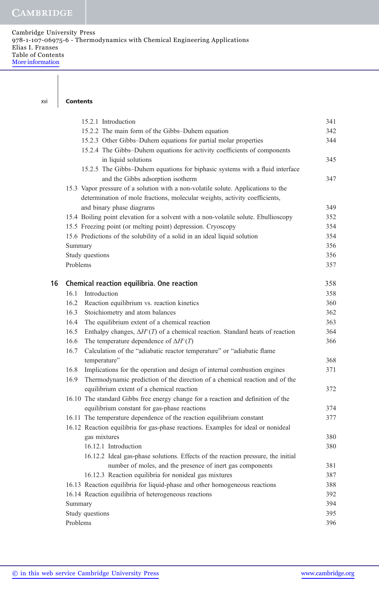#### xvi Contents

|    | 15.2.1 Introduction                                                                                | 341 |  |
|----|----------------------------------------------------------------------------------------------------|-----|--|
|    | 15.2.2 The main form of the Gibbs-Duhem equation                                                   | 342 |  |
|    | 15.2.3 Other Gibbs-Duhem equations for partial molar properties                                    | 344 |  |
|    | 15.2.4 The Gibbs-Duhem equations for activity coefficients of components                           |     |  |
|    | in liquid solutions                                                                                | 345 |  |
|    | 15.2.5 The Gibbs-Duhem equations for biphasic systems with a fluid interface                       |     |  |
|    | and the Gibbs adsorption isotherm                                                                  | 347 |  |
|    | 15.3 Vapor pressure of a solution with a non-volatile solute. Applications to the                  |     |  |
|    | determination of mole fractions, molecular weights, activity coefficients,                         |     |  |
|    | and binary phase diagrams                                                                          | 349 |  |
|    | 15.4 Boiling point elevation for a solvent with a non-volatile solute. Ebullioscopy                | 352 |  |
|    | 15.5 Freezing point (or melting point) depression. Cryoscopy                                       | 354 |  |
|    | 15.6 Predictions of the solubility of a solid in an ideal liquid solution                          | 354 |  |
|    | Summary                                                                                            | 356 |  |
|    | Study questions                                                                                    | 356 |  |
|    | Problems                                                                                           | 357 |  |
| 16 | Chemical reaction equilibria. One reaction                                                         | 358 |  |
|    | Introduction<br>16.1                                                                               | 358 |  |
|    | 16.2<br>Reaction equilibrium vs. reaction kinetics                                                 | 360 |  |
|    | 16.3<br>Stoichiometry and atom balances                                                            | 362 |  |
|    | 16.4<br>The equilibrium extent of a chemical reaction                                              | 363 |  |
|    | 16.5<br>Enthalpy changes, $\Delta H^{\circ}(T)$ of a chemical reaction. Standard heats of reaction | 364 |  |
|    | 16.6<br>The temperature dependence of $\Delta H^{\circ}(T)$                                        | 366 |  |
|    | Calculation of the "adiabatic reactor temperature" or "adiabatic flame<br>16.7                     |     |  |
|    | temperature"                                                                                       | 368 |  |
|    | Implications for the operation and design of internal combustion engines<br>16.8                   | 371 |  |
|    | 16.9<br>Thermodynamic prediction of the direction of a chemical reaction and of the                |     |  |
|    | equilibrium extent of a chemical reaction                                                          | 372 |  |
|    | 16.10 The standard Gibbs free energy change for a reaction and definition of the                   |     |  |
|    | equilibrium constant for gas-phase reactions                                                       | 374 |  |
|    | 16.11 The temperature dependence of the reaction equilibrium constant                              | 377 |  |
|    | 16.12 Reaction equilibria for gas-phase reactions. Examples for ideal or nonideal                  |     |  |
|    | gas mixtures                                                                                       | 380 |  |
|    | 16.12.1 Introduction                                                                               | 380 |  |
|    | 16.12.2 Ideal gas-phase solutions. Effects of the reaction pressure, the initial                   |     |  |
|    | number of moles, and the presence of inert gas components                                          | 381 |  |
|    | 16.12.3 Reaction equilibria for nonideal gas mixtures                                              | 387 |  |
|    | 16.13 Reaction equilibria for liquid-phase and other homogeneous reactions                         | 388 |  |
|    | 16.14 Reaction equilibria of heterogeneous reactions                                               | 392 |  |
|    | Summary                                                                                            | 394 |  |
|    | Study questions                                                                                    | 395 |  |
|    | Problems                                                                                           | 396 |  |